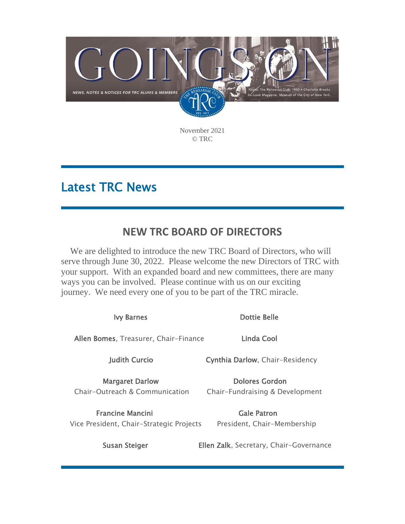

November 2021 © TRC

# Latest TRC News

### **NEW TRC BOARD OF DIRECTORS**

We are delighted to introduce the new TRC Board of Directors, who will serve through June 30, 2022. Please welcome the new Directors of TRC with your support. With an expanded board and new committees, there are many ways you can be involved. Please continue with us on our exciting journey. We need every one of you to be part of the TRC miracle.

| <b>Ivy Barnes</b>                                                   | Dottie Belle                                      |
|---------------------------------------------------------------------|---------------------------------------------------|
| Allen Bomes, Treasurer, Chair-Finance                               | Linda Cool                                        |
| <b>Judith Curcio</b>                                                | Cynthia Darlow, Chair-Residency                   |
| <b>Margaret Darlow</b><br>Chair-Outreach & Communication            | Dolores Gordon<br>Chair-Fundraising & Development |
| <b>Francine Mancini</b><br>Vice President, Chair-Strategic Projects | <b>Gale Patron</b><br>President, Chair-Membership |
| <b>Susan Steiger</b>                                                | Ellen Zalk, Secretary, Chair-Governance           |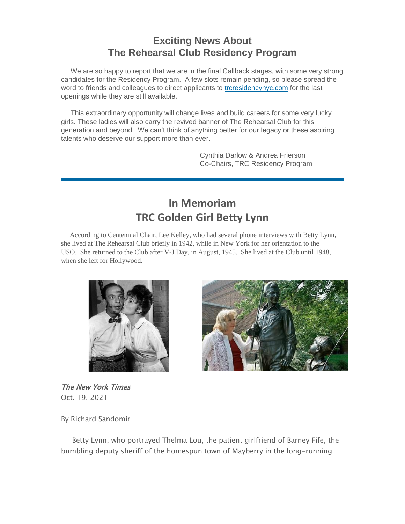#### **Exciting News About The Rehearsal Club Residency Program**

We are so happy to report that we are in the final Callback stages, with some very strong candidates for the Residency Program. A few slots remain pending, so please spread the word to friends and colleagues to direct applicants to [trcresidencynyc.com](http://em.networkforgood.com/ls/click?upn=4Hyae0-2BshpzFDoV8JQr-2B5EsREq9uNCF8NV5sUN-2BQUiua3Yk3St5bgIzXVWlzI02b1yNl_mVgFLr7YN-2FKDVqGhILtkQY9fXF2OyRftV4uiTXV7NCFmx397hqVIaghoWdDojcNgwMPdPMxMSlLbi28IUFl1EdsmCz7t0gBclbW2e990wpvDU3dGxEQGaETc-2FaqqhHE3R5sRpkk0DXtBASziqys4v-2FeyS-2Fs2ew-2Fkj1oPIpJvwG2bsEJwCY8FPRtNrVHmblP4N2mHN4znZQu5dGHsvplRlxRUE-2BqGdePdlXn4ZjkBpplkjTAYJ5ow34boxIteAYSon6xATMqGD6SlVJaMdQ7JiJVwM4-2FbTyuMHFf86UA96jZmzyHwFHeG6Tk8aVIdbjVV8qSVMxGiUR0YcbcikxJ5O8B37nTC1iyBzYUvTLyiEiA-3D) for the last openings while they are still available.

This extraordinary opportunity will change lives and build careers for some very lucky girls. These ladies will also carry the revived banner of The Rehearsal Club for this generation and beyond. We can't think of anything better for our legacy or these aspiring talents who deserve our support more than ever.

> Cynthia Darlow & Andrea Frierson Co-Chairs, TRC Residency Program

### **In Memoriam TRC Golden Girl Betty Lynn**

According to Centennial Chair, Lee Kelley, who had several phone interviews with Betty Lynn, she lived at The Rehearsal Club briefly in 1942, while in New York for her orientation to the USO. She returned to the Club after V-J Day, in August, 1945. She lived at the Club until 1948, when she left for Hollywood.



The New York Times Oct. 19, 2021

By Richard Sandomir

Betty Lynn, who portrayed Thelma Lou, the patient girlfriend of Barney Fife, the bumbling deputy sheriff of the homespun town of Mayberry in the long-running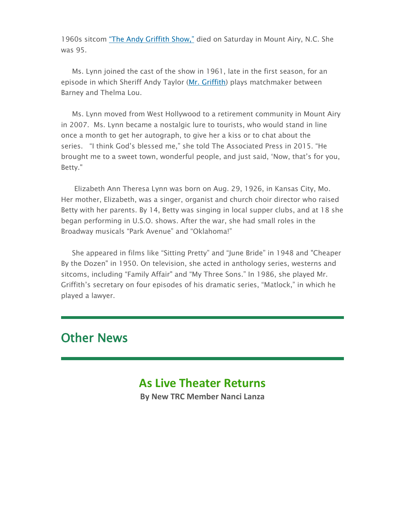1960s sitcom ["The Andy Griffith Show,"](http://em.networkforgood.com/ls/click?upn=VAGGw4zHikj3d-2F5242H3ZrkqPlK-2FbVb6SG3qJMESQjM-2FCy3DllZ1BOztr-2FOZajVwSOwBxCQH4itmG62zYITncIso0YQROPULq16-2Bn4lvhhM-3D8KxR_mVgFLr7YN-2FKDVqGhILtkQY9fXF2OyRftV4uiTXV7NCFmx397hqVIaghoWdDojcNgwMPdPMxMSlLbi28IUFl1EdsmCz7t0gBclbW2e990wpvDU3dGxEQGaETc-2FaqqhHE3R5sRpkk0DXtBASziqys4v-2FeyS-2Fs2ew-2Fkj1oPIpJvwG1yD7tCdEAoa2-2BNYV-2BBN5YTNL9mZk0IcoweF7zIBLdWpYZyF-2FPjyxjJNiKvPN5qi3eIlIFnVG4xqKXONaAG3jLh6eCnF50yHJv2KsnC8I5ldrc9UyfGUvRKUi9oxOwvGZbsEpxjcm9WPlAvHYloSiH-2FY7NJZPasyyFphd8JNUapzHNiEyN9S2I6FZjODpJX5vw-3D) died on Saturday in Mount Airy, N.C. She was 95.

Ms. Lynn joined the cast of the show in 1961, late in the first season, for an episode in which Sheriff Andy Taylor [\(Mr. Griffith\)](http://em.networkforgood.com/ls/click?upn=VAGGw4zHikj3d-2F5242H3ZqqaiVuZKP5hwApwBp3A5eCojvNlfDGGTN7LdCySy5YSTufm9NzI01VSeV14yC7XelkslVG8Sedpf-2Feri7Bqp6nmzOLSSVjYLE2FiR09MuvAaaJO_mVgFLr7YN-2FKDVqGhILtkQY9fXF2OyRftV4uiTXV7NCFmx397hqVIaghoWdDojcNgwMPdPMxMSlLbi28IUFl1EdsmCz7t0gBclbW2e990wpvDU3dGxEQGaETc-2FaqqhHE3R5sRpkk0DXtBASziqys4v-2FeyS-2Fs2ew-2Fkj1oPIpJvwG04-2F2il-2F8TpAevq98BFx5rOIkqPHgGxkwCCU1YckWu-2FV2HlUkbUzEDubstyOuaeE66awyBQUKXCvFTnhAdc2agd900kWzd869jDJBm38p94Dd2rXVosr4fGyOIJ2sSjZk8P05XXKLqKMuLHmG5xsFQnr0AWOVsX7-2BfpdcLeL3gkd9aZ97iLM2jdbKzybyZKfug-3D) plays matchmaker between Barney and Thelma Lou.

Ms. Lynn moved from West Hollywood to a retirement community in Mount Airy in 2007. Ms. Lynn became a nostalgic lure to tourists, who would stand in line once a month to get her autograph, to give her a kiss or to chat about the series. "I think God's blessed me," she told The Associated Press in 2015. "He brought me to a sweet town, wonderful people, and just said, 'Now, that's for you, Betty."

Elizabeth Ann Theresa Lynn was born on Aug. 29, 1926, in Kansas City, Mo. Her mother, Elizabeth, was a singer, organist and church choir director who raised Betty with her parents. By 14, Betty was singing in local supper clubs, and at 18 she began performing in U.S.O. shows. After the war, she had small roles in the Broadway musicals "Park Avenue" and "Oklahoma!"

She appeared in films like "Sitting Pretty" and "June Bride" in 1948 and "Cheaper By the Dozen" in 1950. On television, she acted in anthology series, westerns and sitcoms, including "Family Affair" and "My Three Sons." In 1986, she played Mr. Griffith's secretary on four episodes of his dramatic series, "Matlock," in which he played a lawyer.

### Other News

### **As Live Theater Returns**

**By New TRC Member Nanci Lanza**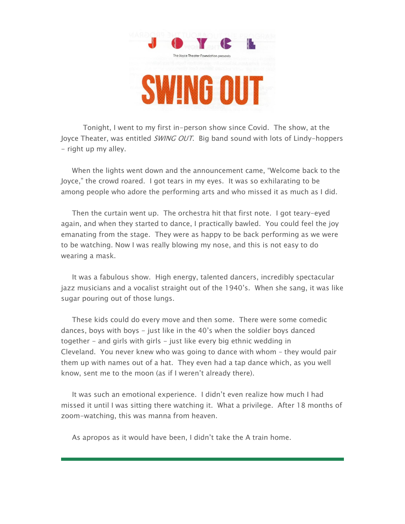

 Tonight, I went to my first in-person show since Covid. The show, at the Joyce Theater, was entitled SWING OUT. Big band sound with lots of Lindy-hoppers - right up my alley.

When the lights went down and the announcement came, "Welcome back to the Joyce," the crowd roared. I got tears in my eyes. It was so exhilarating to be among people who adore the performing arts and who missed it as much as I did.

Then the curtain went up. The orchestra hit that first note. I got teary-eyed again, and when they started to dance, I practically bawled. You could feel the joy emanating from the stage. They were as happy to be back performing as we were to be watching. Now I was really blowing my nose, and this is not easy to do wearing a mask.

It was a fabulous show. High energy, talented dancers, incredibly spectacular jazz musicians and a vocalist straight out of the 1940's. When she sang, it was like sugar pouring out of those lungs.

These kids could do every move and then some. There were some comedic dances, boys with boys - just like in the 40's when the soldier boys danced together - and girls with girls - just like every big ethnic wedding in Cleveland. You never knew who was going to dance with whom – they would pair them up with names out of a hat. They even had a tap dance which, as you well know, sent me to the moon (as if I weren't already there).

It was such an emotional experience. I didn't even realize how much I had missed it until I was sitting there watching it. What a privilege. After 18 months of zoom-watching, this was manna from heaven.

As apropos as it would have been, I didn't take the A train home.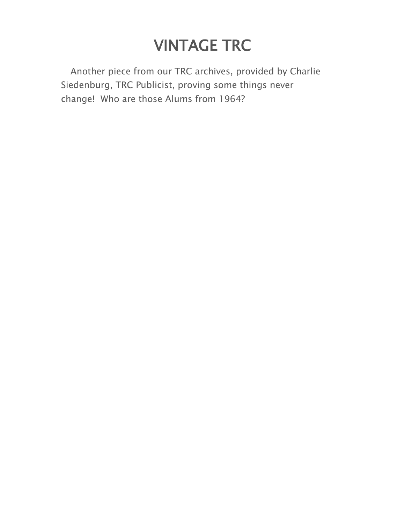# VINTAGE TRC

Another piece from our TRC archives, provided by Charlie Siedenburg, TRC Publicist, proving some things never change! Who are those Alums from 1964?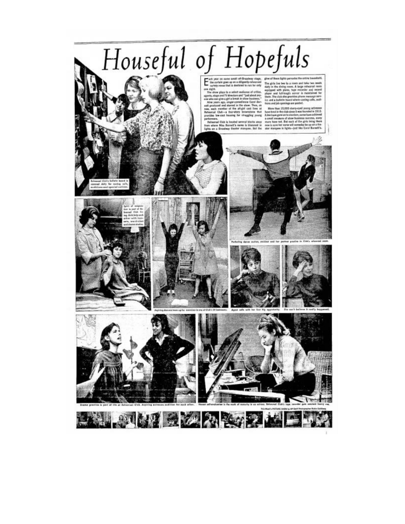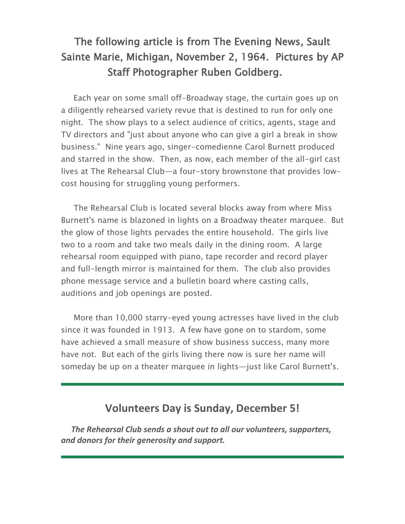## The following article is from The Evening News, Sault Sainte Marie, Michigan, November 2, 1964. Pictures by AP Staff Photographer Ruben Goldberg.

Each year on some small off-Broadway stage, the curtain goes up on a diligently rehearsed variety revue that is destined to run for only one night. The show plays to a select audience of critics, agents, stage and TV directors and "just about anyone who can give a girl a break in show business." Nine years ago, singer-comedienne Carol Burnett produced and starred in the show. Then, as now, each member of the all-girl cast lives at The Rehearsal Club—a four-story brownstone that provides lowcost housing for struggling young performers.

The Rehearsal Club is located several blocks away from where Miss Burnett's name is blazoned in lights on a Broadway theater marquee. But the glow of those lights pervades the entire household. The girls live two to a room and take two meals daily in the dining room. A large rehearsal room equipped with piano, tape recorder and record player and full-length mirror is maintained for them. The club also provides phone message service and a bulletin board where casting calls, auditions and job openings are posted.

More than 10,000 starry-eyed young actresses have lived in the club since it was founded in 1913. A few have gone on to stardom, some have achieved a small measure of show business success, many more have not. But each of the girls living there now is sure her name will someday be up on a theater marquee in lights—just like Carol Burnett's.

#### **Volunteers Day is Sunday, December 5!**

*The Rehearsal Club sends a shout out to all our volunteers, supporters, and donors for their generosity and support.*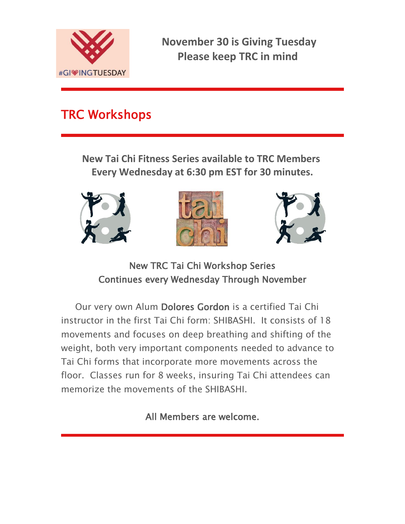

**November 30 is Giving Tuesday Please keep TRC in mind**

# TRC Workshops

**New Tai Chi Fitness Series available to TRC Members Every Wednesday at 6:30 pm EST for 30 minutes.**







New TRC Tai Chi Workshop Series Continues every Wednesday Through November

Our very own Alum Dolores Gordon is a certified Tai Chi instructor in the first Tai Chi form: SHIBASHI. It consists of 18 movements and focuses on deep breathing and shifting of the weight, both very important components needed to advance to Tai Chi forms that incorporate more movements across the floor. Classes run for 8 weeks, insuring Tai Chi attendees can memorize the movements of the SHIBASHI.

All Members are welcome.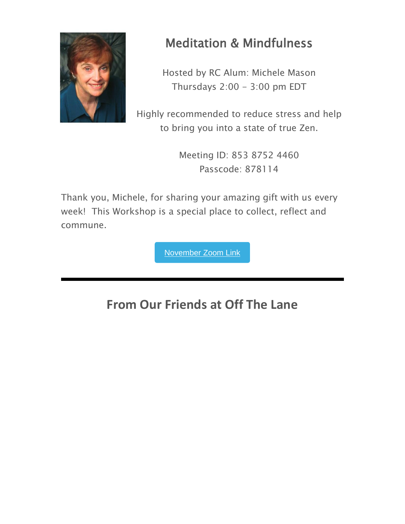

# Meditation & Mindfulness

Hosted by RC Alum: Michele Mason Thursdays  $2:00 - 3:00$  pm EDT

Highly recommended to reduce stress and help to bring you into a state of true Zen.

> Meeting ID: 853 8752 4460 Passcode: 878114

Thank you, Michele, for sharing your amazing gift with us every week! This Workshop is a special place to collect, reflect and commune.

[November](https://us02web.zoom.us/j/85387524460?pwd=QmRWWFN4aXoxZVUwRzhmNUxuVUxBUT09) Zoom Link

# **From Our Friends at Off The Lane**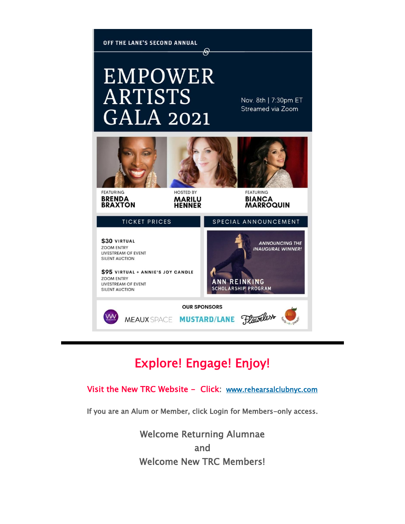

# Explore! Engage! Enjoy!

#### Visit the New TRC Website - Click: [www.rehearsalclubnyc.com](http://em.networkforgood.com/ls/click?upn=d9K6ASy0zzX96vUyeY2s4NbX7GC-2B-2BQrvMkId8Tobla-2FvkTqIGb6BP464szxIK4hE7puV_mVgFLr7YN-2FKDVqGhILtkQY9fXF2OyRftV4uiTXV7NCFmx397hqVIaghoWdDojcNgwMPdPMxMSlLbi28IUFl1EdsmCz7t0gBclbW2e990wpvDU3dGxEQGaETc-2FaqqhHE3R5sRpkk0DXtBASziqys4v-2FeyS-2Fs2ew-2Fkj1oPIpJvwG27ehCwvSvKgtKdTp77q1X-2BffDyx5KEB6-2FQm0qfw4VtKrvoixA5Li5O4Sdu9JuhcOW0L-2BWQj4AnclgWNzPjCDM4-2FvIbXQ6lPHgg1noPDWsD-2FLZQ-2Bx4kjMX0ip-2Fjtxh3cw3aw-2F4202PiolaojXqMHTwgd6hQU93DV8DXEvsa4gBucun-2B4gGmu-2BojzyUKUXEDB20-3D)

If you are an Alum or Member, click Login for Members-only access.

Welcome Returning Alumnae and Welcome New TRC Members!